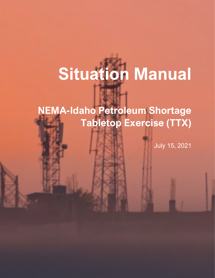# **Situation Manual**

# **NEMA-Idaho Petroleum Shortage Tabletop Exercise (TTX)**

July 15, 2021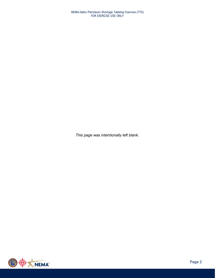*This page was intentionally left blank.*

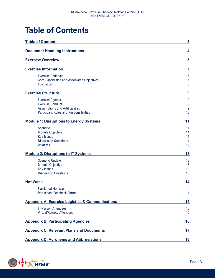# **Table of Contents**

| <b>Table of Contents</b>                                                                                                                     | $\overline{\mathbf{3}}$          |
|----------------------------------------------------------------------------------------------------------------------------------------------|----------------------------------|
| <b>Document Handling Instructions</b>                                                                                                        | 4                                |
| <b>Exercise Overview</b>                                                                                                                     | 5                                |
| <b>Exercise Information</b>                                                                                                                  | 7                                |
| <b>Exercise Rationale</b><br>Core Capabilities and Associated Objectives<br>Evaluation                                                       | 7<br>$\overline{7}$<br>8         |
| <b>Exercise Structure</b>                                                                                                                    | 9                                |
| <b>Exercise Agenda</b><br><b>Exercise Conduct</b><br><b>Assumptions and Artificialities</b><br><b>Participant Roles and Responsibilities</b> | $\overline{9}$<br>$9$<br>9<br>10 |
| <b>Module 1: Disruptions to Energy Systems</b>                                                                                               | 11                               |
| Scenario<br>Module Objective<br><b>Key Issues</b><br><b>Discussion Questions</b><br><b>Wildfires</b>                                         | 11<br>11<br>11<br>11<br>12       |
| <b>Module 2: Disruptions to IT Systems</b>                                                                                                   | 13                               |
| Scenario Update<br>Module Objective<br><b>Key Issues</b><br><b>Discussion Questions</b>                                                      | 13<br>13<br>13<br>13             |
| <b>Hot Wash</b>                                                                                                                              | 14                               |
| <b>Facilitated Hot Wash</b><br><b>Participant Feedback Forms</b>                                                                             | 14<br>14                         |
| <b>Appendix A: Exercise Logistics &amp; Communications</b>                                                                                   | 15                               |
| <b>In-Person Attendees</b><br><b>Virtual/Remote Attendees</b>                                                                                | 15<br>15                         |
| <b>Appendix B: Participating Agencies</b>                                                                                                    | <u>16</u>                        |
| <b>Appendix C: Relevant Plans and Documents</b>                                                                                              | 17                               |
| <b>Appendix D: Acronyms and Abbreviations</b>                                                                                                | 18                               |

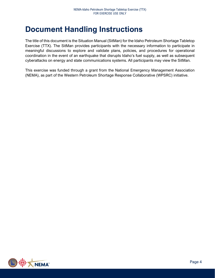# **Document Handling Instructions**

The title of this document is the Situation Manual (SitMan) for the Idaho Petroleum Shortage Tabletop Exercise (TTX). The SitMan provides participants with the necessary information to participate in meaningful discussions to explore and validate plans, policies, and procedures for operational coordination in the event of an earthquake that disrupts Idaho's fuel supply, as well as subsequent cyberattacks on energy and state communications systems. All participants may view the SitMan.

This exercise was funded through a grant from the National Emergency Management Association (NEMA), as part of the Western Petroleum Shortage Response Collaborative (WPSRC) initiative.

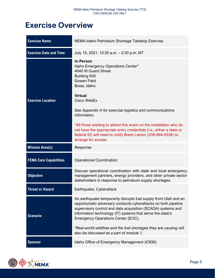# **Exercise Overview**

| <b>Exercise Name</b>          | NEMA-Idaho Petroleum Shortage Tabletop Exercise                                                                                                                                                                                                                                                                                                                             |  |
|-------------------------------|-----------------------------------------------------------------------------------------------------------------------------------------------------------------------------------------------------------------------------------------------------------------------------------------------------------------------------------------------------------------------------|--|
| <b>Exercise Date and Time</b> | July 15, 2021, 10:30 a.m. - 2:30 p.m. MT                                                                                                                                                                                                                                                                                                                                    |  |
|                               | <b>In-Person</b><br>Idaho Emergency Operations Center*<br>4040 W Guard Street<br>Building 600<br><b>Gowen Field</b><br>Boise, Idaho                                                                                                                                                                                                                                         |  |
| <b>Exercise Location</b>      | <b>Virtual</b><br>Cisco WebEx                                                                                                                                                                                                                                                                                                                                               |  |
|                               | See Appendix A for exercise logistics and communications<br>information.                                                                                                                                                                                                                                                                                                    |  |
|                               | *All those wishing to attend this event on the installation who do<br>not have the appropriate entry credentials (i.e., either a state or<br>federal ID) will need to notify Brent Larson (208-994-9338) to<br>arrange for access.                                                                                                                                          |  |
| <b>Mission Area(s)</b>        | Response                                                                                                                                                                                                                                                                                                                                                                    |  |
|                               |                                                                                                                                                                                                                                                                                                                                                                             |  |
| <b>FEMA Core Capabilities</b> | <b>Operational Coordination</b>                                                                                                                                                                                                                                                                                                                                             |  |
| <b>Objective</b>              | Discuss operational coordination with state and local emergency<br>management partners, energy providers, and other private sector<br>stakeholders in response to petroleum supply shortages.                                                                                                                                                                               |  |
| <b>Threat or Hazard</b>       | Earthquake, Cyberattack                                                                                                                                                                                                                                                                                                                                                     |  |
| Scenario                      | An earthquake temporarily disrupts fuel supply from Utah and an<br>opportunistic adversary conducts cyberattacks on both pipeline<br>supervisory control and data acquisition (SCADA) systems and<br>information technology (IT) systems that serve the state's<br>Emergency Operations Center (EOC).<br>*Real-world wildfires and the fuel shortages they are causing will |  |
| <b>Sponsor</b>                | also be discussed as a part of module 1.<br>Idaho Office of Emergency Management (IOEM)                                                                                                                                                                                                                                                                                     |  |

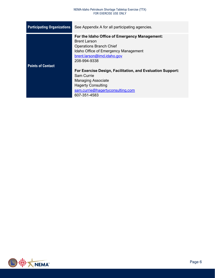| <b>Participating Organizations</b> | See Appendix A for all participating agencies.                                                                                                                                                                                                                                                                                                                                         |
|------------------------------------|----------------------------------------------------------------------------------------------------------------------------------------------------------------------------------------------------------------------------------------------------------------------------------------------------------------------------------------------------------------------------------------|
| <b>Points of Contact</b>           | For the Idaho Office of Emergency Management:<br><b>Brent Larson</b><br><b>Operations Branch Chief</b><br>Idaho Office of Emergency Management<br>brent.larson@imd.idaho.gov<br>208-994-9338<br>For Exercise Design, Facilitation, and Evaluation Support:<br>Sam Currie<br><b>Managing Associate</b><br><b>Hagerty Consulting</b><br>sam.currie@hagertyconsulting.com<br>607-351-4583 |

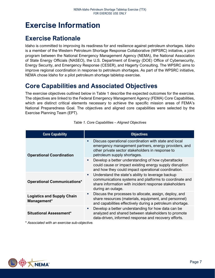## **Exercise Information**

## **Exercise Rationale**

Idaho is committed to improving its readiness for and resilience against petroleum shortages. Idaho is a member of the Western Petroleum Shortage Response Collaborative (WPSRC) initiative, a joint program between the National Emergency Management Agency (NEMA), the National Association of State Energy Officials (NASEO), the U.S. Department of Energy (DOE) Office of Cybersecurity, Energy Security, and Emergency Response (CESER), and Hagerty Consulting. The WPSRC aims to improve regional coordination in response to petroleum shortages. As part of the WPSRC initiative, NEMA chose Idaho for a pilot petroleum shortage tabletop exercise.

## **Core Capabilities and Associated Objectives**

The exercise objectives outlined below in Table 1 describe the expected outcomes for the exercise. The objectives are linked to the Federal Emergency Management Agency (FEMA) Core Capabilities, which are distinct critical elements necessary to achieve the specific mission areas of FEMA's National Preparedness Goal. The objectives and aligned core capabilities were selected by the Exercise Planning Team (EPT).

| <b>Core Capability</b>                           | <b>Objectives</b>                                                                                                                                                                                     |
|--------------------------------------------------|-------------------------------------------------------------------------------------------------------------------------------------------------------------------------------------------------------|
| <b>Operational Coordination</b>                  | Discuss operational coordination with state and local<br>п<br>emergency management partners, energy providers, and<br>other private sector stakeholders in response to<br>petroleum supply shortages. |
|                                                  | Develop a better understanding of how cyberattacks<br>٠<br>could cause or impact existing energy supply disruption<br>and how they could impact operational coordination.                             |
| <b>Operational Communications*</b>               | Understand the state's ability to leverage backup<br>٠<br>communications systems and platforms to coordinate and<br>share information with incident response stakeholders<br>during an outage.        |
| <b>Logistics and Supply Chain</b><br>Management* | Discuss the processes to allocate, assign, deploy, and<br>٠<br>share resources (materials, equipment, and personnel)<br>and capabilities effectively during a petroleum shortage.                     |
| <b>Situational Assessment*</b>                   | Develop a better understanding for how data can be<br>٠<br>analyzed and shared between stakeholders to promote<br>data-driven, informed response and recovery efforts.                                |

|  | Table 1. Core Capabilities - Aligned Objectives |  |
|--|-------------------------------------------------|--|
|  |                                                 |  |

*\* Associated with an exercise sub-objective.*

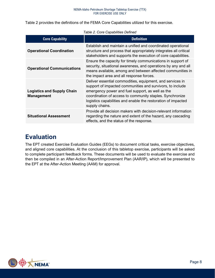Table 2 provides the definitions of the FEMA Core Capabilities utilized for this exercise.

| <b>Core Capability</b>                                 | <b>Definition</b>                                                                                                                                                                                                                                                                                                         |
|--------------------------------------------------------|---------------------------------------------------------------------------------------------------------------------------------------------------------------------------------------------------------------------------------------------------------------------------------------------------------------------------|
| <b>Operational Coordination</b>                        | Establish and maintain a unified and coordinated operational<br>structure and process that appropriately integrates all critical<br>stakeholders and supports the execution of core capabilities.                                                                                                                         |
| <b>Operational Communications</b>                      | Ensure the capacity for timely communications in support of<br>security, situational awareness, and operations by any and all<br>means available, among and between affected communities in<br>the impact area and all response forces.                                                                                   |
| <b>Logistics and Supply Chain</b><br><b>Management</b> | Deliver essential commodities, equipment, and services in<br>support of impacted communities and survivors, to include<br>emergency power and fuel support, as well as the<br>coordination of access to community staples. Synchronize<br>logistics capabilities and enable the restoration of impacted<br>supply chains. |
| <b>Situational Assessment</b>                          | Provide all decision makers with decision-relevant information<br>regarding the nature and extent of the hazard, any cascading<br>effects, and the status of the response.                                                                                                                                                |

*Table 2. Core Capabilities Defined*

#### **Evaluation**

The EPT created Exercise Evaluation Guides (EEGs) to document critical tasks, exercise objectives, and aligned core capabilities. At the conclusion of this tabletop exercise, participants will be asked to complete participant feedback forms. These documents will be used to evaluate the exercise and then be compiled in an After-Action Report/Improvement Plan (AAR/IP), which will be presented to the EPT at the After-Action Meeting (AAM) for approval.

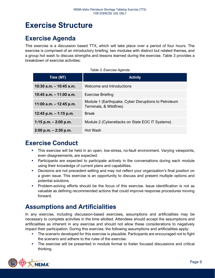# **Exercise Structure**

## **Exercise Agenda**

This exercise is a discussion based TTX, which will take place over a period of four hours. The exercise is comprised of an introductory briefing, two modules with distinct but related themes, and a group hot wash to discuss strengths and lessons learned during the exercise. Table 3 provides a breakdown of exercise activities:

| Table 3. Exercise Agenda |                                                                                 |
|--------------------------|---------------------------------------------------------------------------------|
| Time (MT)                | <b>Activity</b>                                                                 |
| 10:30 a.m. – 10:45 a.m.  | Welcome and Introductions                                                       |
| 10:45 a.m. - 11:00 a.m.  | <b>Exercise Briefing</b>                                                        |
| 11:00 a.m. - 12:45 p.m.  | Module 1 (Earthquake, Cyber Disruptions to Petroleum<br>Terminals, & Wildfires) |

**1:15 p.m. – 2:00 p.m.** Module 2 (Cyberattacks on State EOC IT Systems)

|  | <b>Exercise Conduct</b> |  |
|--|-------------------------|--|

**12:45 p.m. – 1:15 p.m.** Break

**2:00 p.m. – 2:30 p.m.** Hot Wash

- This exercise will be held in an open, low-stress, no-fault environment. Varying viewpoints, even disagreements, are expected.
- Participants are expected to participate actively in the conversations during each module using their knowledge of current plans and capabilities.
- Decisions are not precedent setting and may not reflect your organization's final position on a given issue. This exercise is an opportunity to discuss and present multiple options and potential solutions.
- Problem-solving efforts should be the focus of this exercise. Issue identification is not as valuable as defining recommended actions that could improve response procedures moving forward.

## **Assumptions and Artificialities**

In any exercise, including discussion-based exercises, assumptions and artificialities may be necessary to complete activities in the time allotted. Attendees should accept the assumptions and artificialities as inherent in any exercise and should not allow these considerations to negatively impact their participation. During this exercise, the following assumptions and artificialities apply:

- The scenario developed for this exercise is plausible. Participants are encouraged not to fight the scenario and adhere to the rules of the exercise.
- The exercise will be presented in module format to foster focused discussions and critical thinking.

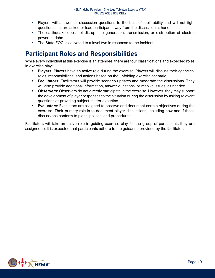- Players will answer all discussion questions to the best of their ability and will not fight questions that are asked or lead participant away from the discussion at hand.
- The earthquake does not disrupt the generation, transmission, or distribution of electric power in Idaho.
- The State EOC is activated to a level two in response to the incident.

## **Participant Roles and Responsibilities**

While every individual at this exercise is an attendee, there are four classifications and expected roles in exercise play:

- **Players:** Players have an active role during the exercise. Players will discuss their agencies' roles, responsibilities, and actions based on the unfolding exercise scenario.
- **Facilitators:** Facilitators will provide scenario updates and moderate the discussions. They will also provide additional information, answer questions, or resolve issues, as needed.
- **Observers:** Observers do not directly participate in the exercise. However, they may support the development of player responses to the situation during the discussion by asking relevant questions or providing subject matter expertise.
- **Evaluators:** Evaluators are assigned to observe and document certain objectives during the exercise. Their primary role is to document player discussions, including how and if those discussions conform to plans, polices, and procedures.

Facilitators will take an active role in guiding exercise play for the group of participants they are assigned to. It is expected that participants adhere to the guidance provided by the facilitator.

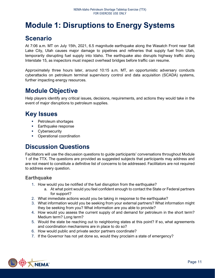# **Module 1: Disruptions to Energy Systems**

#### **Scenario**

At 7:06 a.m. MT on July 15th, 2021, 6.5 magnitude earthquake along the Wasatch Front near Salt Lake City, Utah causes major damage to pipelines and refineries that supply fuel from Utah, temporarily disrupting fuel supply into Idaho. The earthquake also disrupts highway traffic along Interstate 15, as inspectors must inspect overhead bridges before traffic can resume.

Approximately three hours later, around 10:15 a.m. MT, an opportunistic adversary conducts cyberattacks on petroleum terminal supervisory control and data acquisition (SCADA) systems, further impacting energy resources.

#### **Module Objective**

Help players identify any critical issues, decisions, requirements, and actions they would take in the event of major disruptions to petroleum supplies.

#### **Key Issues**

- Petroleum shortages
- **Earthquake response**
- **Cybersecurity**
- **•** Operational coordination

## **Discussion Questions**

Facilitators will use the discussion questions to guide participants' conversations throughout Module 1 of the TTX. The questions are provided as suggested subjects that participants may address and are not meant to constitute a definitive list of concerns to be addressed. Facilitators are not required to address every question.

#### **Earthquake**

- 1. How would you be notified of the fuel disruption from the earthquake?
	- a. At what point would you feel confident enough to contact the State or Federal partners for support?
- 2. What immediate actions would you be taking in response to the earthquake?
- 3. What information would you be seeking from your external partners? What information might they be seeking from you? What information are you able to provide?
- 4. How would you assess the current supply of and demand for petroleum in the short term? Medium term? Long term?
- 5. Would the state be reaching out to neighboring states at this point? If so, what agreements and coordination mechanisms are in place to do so?
- 6. How would public and private sector partners coordinate?
- 7. If the Governor has not yet done so, would they proclaim a state of emergency?

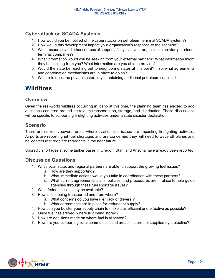#### **Cyberattack on SCADA Systems**

- 1. How would you be notified of the cyberattacks on petroleum terminal SCADA systems?
- 2. How would this development impact your organization's response to the scenario?
- 3. What resources and other sources of support, if any, can your organization provide petroleum terminal companies?
- 4. What information would you be seeking from your external partners? What information might they be seeking from you? What information are you able to provide?
- 5. Would the state be reaching out to neighboring states at this point? If so, what agreements and coordination mechanisms are in place to do so?
- 6. What role does the private sector play in obtaining additional petroleum supplies?

## **Wildfires**

#### **Overview**

Given the real-world wildfires occurring in Idaho at this time, the planning team has elected to add questions centered around petroleum transportation, storage, and distribution. These discussions will be specific to supporting firefighting activities under a state disaster declaration.

#### **Scenario**

There are currently several areas where aviation fuel issues are impacting firefighting activities. Airports are reporting jet fuel shortages and are concerned they will need to wave off planes and helicopters that drop fire retardants in the near future.

Sporadic shortages at some tanker bases in Oregon, Utah, and Arizona have already been reported.

#### **Discussion Questions**

- 1. What local, state, and regional partners are able to support the growing fuel issues?
	- a. How are they supporting?
	- b. What immediate actions would you take in coordination with these partners?
	- c. What current agreements, plans, policies, and procedures are in place to help guide agencies through these fuel shortage issues?
- 2. What federal assets may be available?
- 3. How is fuel being transported and from where?
	- a. What concerns do you have (i.e., lack of drivers)?
	- b. What agreements are in place for redundant supply?
- 4. How can you bolster your supply chain to make it as efficient and effective as possible?
- 5. Once fuel has arrived, where is it being stored?
- 6. How are decisions made on where fuel is allocated?
- 7. How are you supporting rural communities and areas that are not supplied by a pipeline?

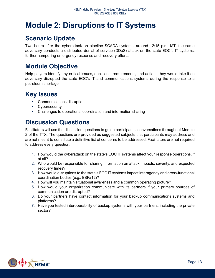# **Module 2: Disruptions to IT Systems**

#### **Scenario Update**

Two hours after the cyberattack on pipeline SCADA systems, around 12:15 p.m. MT, the same adversary conducts a distributed denial of service (DDoS) attack on the state EOC's IT systems, further hampering emergency response and recovery efforts.

#### **Module Objective**

Help players identify any critical issues, decisions, requirements, and actions they would take if an adversary disrupted the state EOC's IT and communications systems during the response to a petroleum shortage.

#### **Key Issues**

- Communications disruptions
- **Cybersecurity**
- Challenges to operational coordination and information sharing

## **Discussion Questions**

Facilitators will use the discussion questions to guide participants' conversations throughout Module 2 of the TTX. The questions are provided as suggested subjects that participants may address and are not meant to constitute a definitive list of concerns to be addressed. Facilitators are not required to address every question.

- 1. How would the cyberattack on the state's EOC IT systems affect your response operations, if at all?
- 2. Who would be responsible for sharing information on attack impacts, severity, and expected recovery times?
- 3. How would disruptions to the state's EOC IT systems impact interagency and cross-functional coordination bodies (e.g., ESF#12)?
- 4. How will you maintain situational awareness and a common operating picture?
- 5. How would your organization communicate with its partners if your primary sources of communication are disrupted?
- 6. Do your partners have contact information for your backup communications systems and platforms?
- 7. Have you tested interoperability of backup systems with your partners, including the private sector?

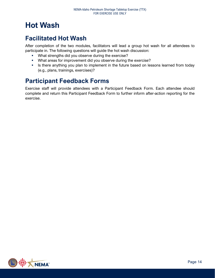# **Hot Wash**

## **Facilitated Hot Wash**

After completion of the two modules, facilitators will lead a group hot wash for all attendees to participate in. The following questions will guide the hot wash discussion:

- **What strengths did you observe during the exercise?**
- **What areas for improvement did you observe during the exercise?**
- **In Ity is there anything you plan to implement in the future based on lessons learned from today** (e.g., plans, trainings, exercises)?

## **Participant Feedback Forms**

Exercise staff will provide attendees with a Participant Feedback Form. Each attendee should complete and return this Participant Feedback Form to further inform after-action reporting for the exercise.

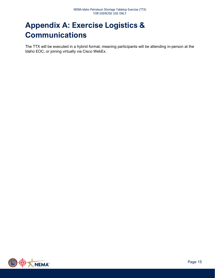# **Appendix A: Exercise Logistics & Communications**

The TTX will be executed in a hybrid format, meaning participants will be attending in-person at the Idaho EOC, or joining virtually via Cisco WebEx.

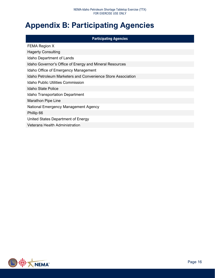# **Appendix B: Participating Agencies**

#### **Participating Agencies**

FEMA Region X Hagerty Consulting Idaho Department of Lands Idaho Governor's Office of Energy and Mineral Resources Idaho Office of Emergency Management Idaho Petroleum Marketers and Convenience Store Association Idaho Public Utilities Commission Idaho State Police Idaho Transportation Department Marathon Pipe Line National Emergency Management Agency Phillip 66 United States Department of Energy Veterans Health Administration

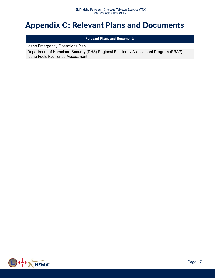## **Appendix C: Relevant Plans and Documents**

**Relevant Plans and Documents**

Idaho Emergency Operations Plan

Department of Homeland Security (DHS) Regional Resiliency Assessment Program (RRAP) – Idaho Fuels Resilience Assessment